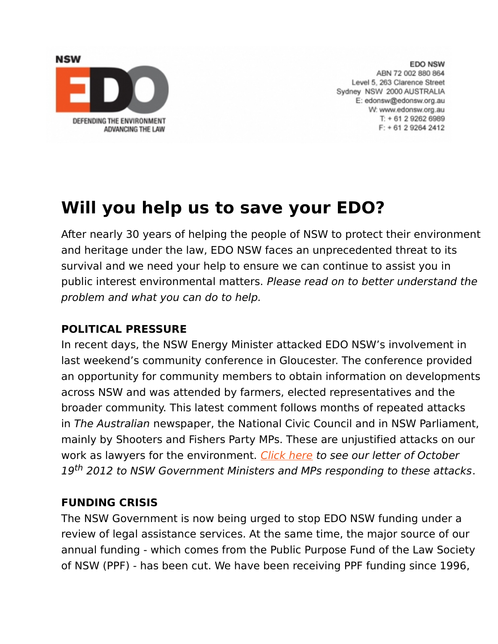

**EDO NSW** ABN 72 002 880 864 Level 5, 263 Clarence Street Sydney NSW 2000 AUSTRALIA E: edonsw@edonsw.org.au W: www.edonsw.org.au T: + 61 2 9262 6989  $F: +61292642412$ 

# **Will you help us to save your EDO?**

After nearly 30 years of helping the people of NSW to protect their environment and heritage under the law, EDO NSW faces an unprecedented threat to its survival and we need your help to ensure we can continue to assist you in public interest environmental matters. Please read on to better understand the problem and what you can do to help.

#### **POLITICAL PRESSURE**

In recent days, the NSW Energy Minister attacked EDO NSW's involvement in last weekend's community conference in Gloucester. The conference provided an opportunity for community members to obtain information on developments across NSW and was attended by farmers, elected representatives and the broader community. This latest comment follows months of repeated attacks in The Australian newspaper, the National Civic Council and in NSW Parliament, mainly by Shooters and Fishers Party MPs. These are unjustified attacks on our work as lawyers for the environment. [Click here](http://www.edo.org.au/edonsw/site/files/Copy-of-letter-to-Ministers-and-MPs.pdf) to see our letter of October 19<sup>th</sup> 2012 to NSW Government Ministers and MPs responding to these attacks.

#### **FUNDING CRISIS**

The NSW Government is now being urged to stop EDO NSW funding under a review of legal assistance services. At the same time, the major source of our annual funding - which comes from the Public Purpose Fund of the Law Society of NSW (PPF) - has been cut. We have been receiving PPF funding since 1996,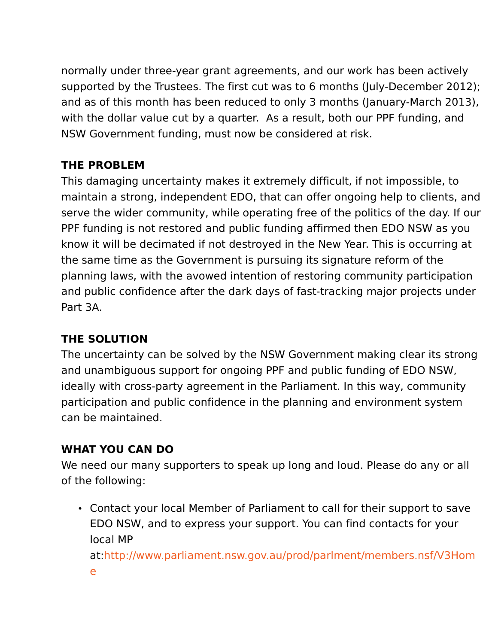normally under three-year grant agreements, and our work has been actively supported by the Trustees. The first cut was to 6 months (July-December 2012); and as of this month has been reduced to only 3 months (January-March 2013), with the dollar value cut by a quarter. As a result, both our PPF funding, and NSW Government funding, must now be considered at risk.

## **THE PROBLEM**

This damaging uncertainty makes it extremely difficult, if not impossible, to maintain a strong, independent EDO, that can offer ongoing help to clients, and serve the wider community, while operating free of the politics of the day. If our PPF funding is not restored and public funding affirmed then EDO NSW as you know it will be decimated if not destroyed in the New Year. This is occurring at the same time as the Government is pursuing its signature reform of the planning laws, with the avowed intention of restoring community participation and public confidence after the dark days of fast-tracking major projects under Part 3A.

## **THE SOLUTION**

The uncertainty can be solved by the NSW Government making clear its strong and unambiguous support for ongoing PPF and public funding of EDO NSW, ideally with cross-party agreement in the Parliament. In this way, community participation and public confidence in the planning and environment system can be maintained.

#### **WHAT YOU CAN DO**

We need our many supporters to speak up long and loud. Please do any or all of the following:

• Contact your local Member of Parliament to call for their support to save EDO NSW, and to express your support. You can find contacts for your local MP at[:http://www.parliament.nsw.gov.au/prod/parlment/members.nsf/V3Hom](http://www.parliament.nsw.gov.au/prod/parlment/members.nsf/V3Home)

[e](http://www.parliament.nsw.gov.au/prod/parlment/members.nsf/V3Home)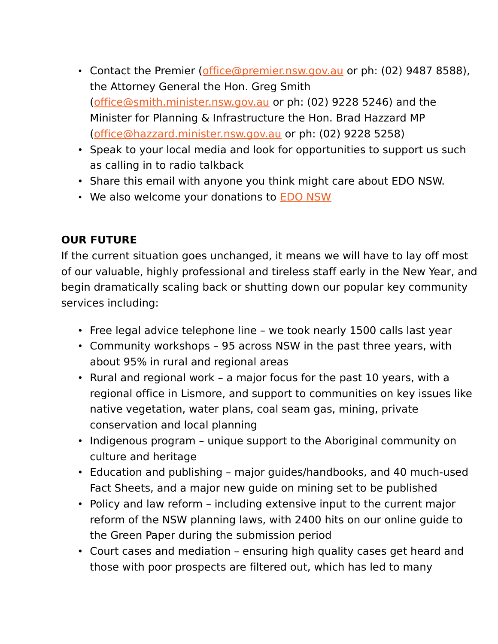- Contact the Premier [\(office@premier.nsw.gov.au](mailto:office@premier.nsw.gov.au) or ph: (02) 9487 8588), the Attorney General the Hon. Greg Smith [\(office@smith.minister.nsw.gov.au](mailto:office@smith.minister.nsw.gov.au) or ph: (02) 9228 5246) and the Minister for Planning & Infrastructure the Hon. Brad Hazzard MP [\(office@hazzard.minister.nsw.gov.au](mailto:office@hazzard.minister.nsw.gov.au) or ph: (02) 9228 5258)
- Speak to your local media and look for opportunities to support us such as calling in to radio talkback
- Share this email with anyone you think might care about EDO NSW.
- We also welcome your donations to **[EDO NSW](http://www.givenow.com.au/edonsw)**

### **OUR FUTURE**

If the current situation goes unchanged, it means we will have to lay off most of our valuable, highly professional and tireless staff early in the New Year, and begin dramatically scaling back or shutting down our popular key community services including:

- Free legal advice telephone line we took nearly 1500 calls last year
- Community workshops 95 across NSW in the past three years, with about 95% in rural and regional areas
- Rural and regional work a major focus for the past 10 years, with a regional office in Lismore, and support to communities on key issues like native vegetation, water plans, coal seam gas, mining, private conservation and local planning
- Indigenous program unique support to the Aboriginal community on culture and heritage
- Education and publishing major guides/handbooks, and 40 much-used Fact Sheets, and a major new guide on mining set to be published
- Policy and law reform including extensive input to the current major reform of the NSW planning laws, with 2400 hits on our online guide to the Green Paper during the submission period
- Court cases and mediation ensuring high quality cases get heard and those with poor prospects are filtered out, which has led to many